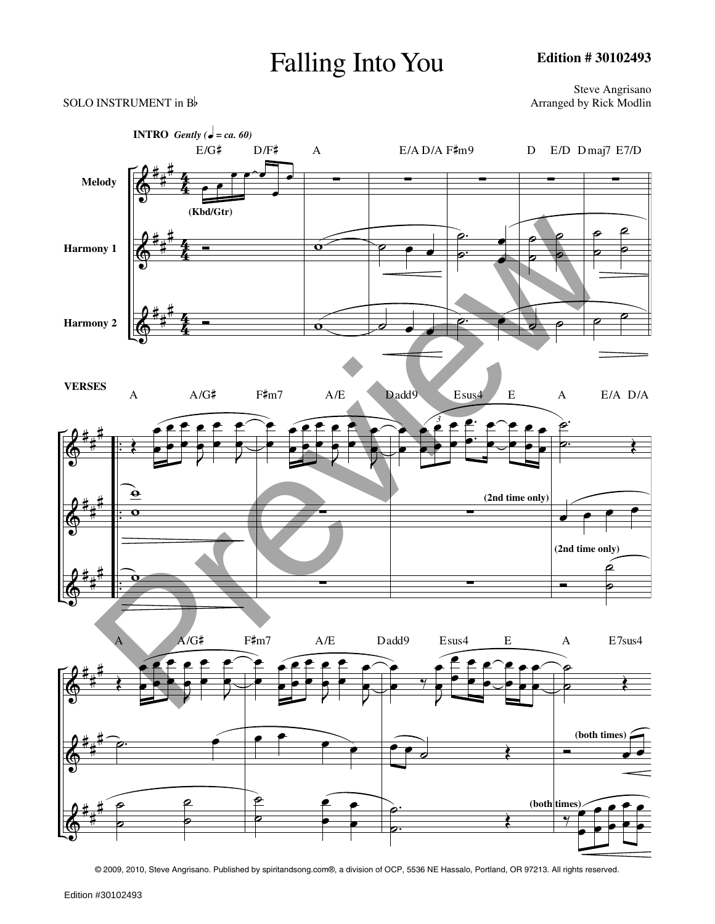## Falling Into You

**Edition # 30102493**

Steve Angrisano<br>Arranged by Rick Modlin



© 2009, 2010, Steve Angrisano. Published by spiritandsong.com®, a division of OCP, 5536 NE Hassalo, Portland, OR 97213. All rights reserved.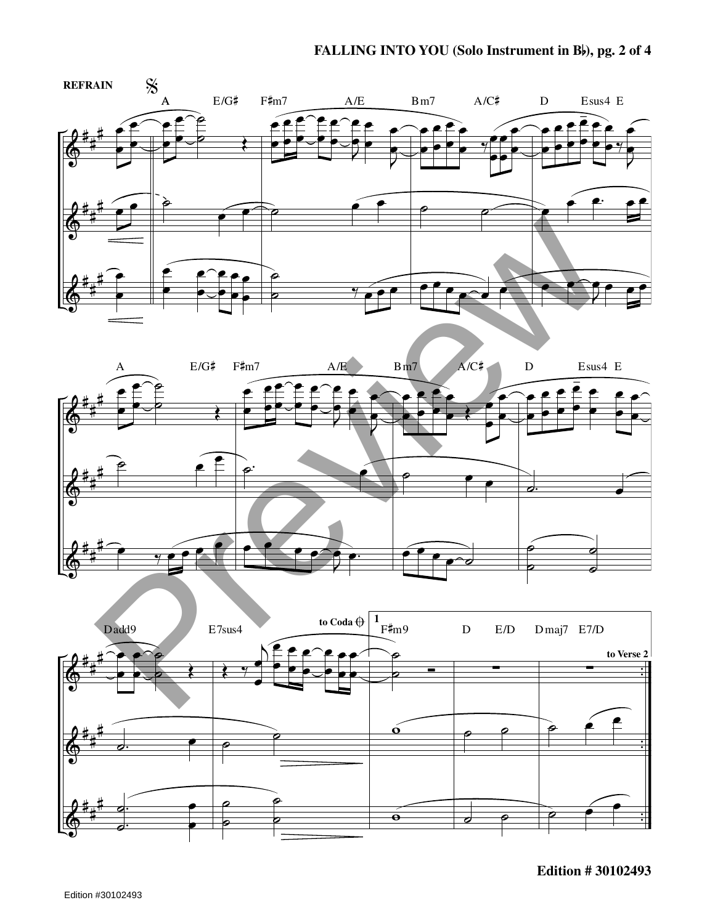## **FALLING INTO YOU (Solo Instrument in <sup>B</sup>), pg. <sup>2</sup> of <sup>4</sup>**







**Edition # 30102493**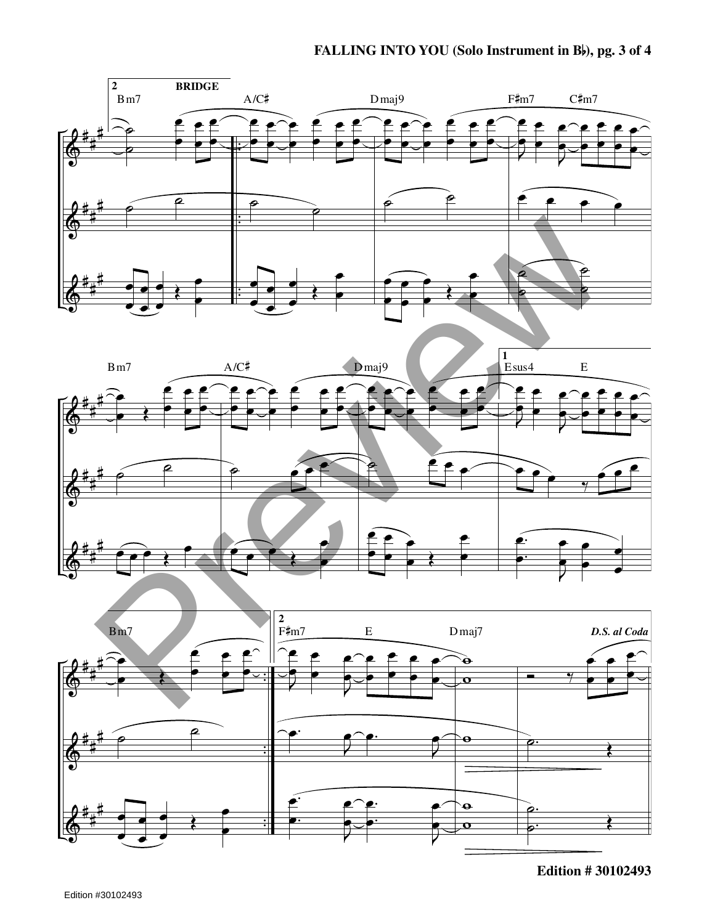## **FALLING INTO YOU (Solo Instrument in <sup>B</sup>), pg. <sup>3</sup> of <sup>4</sup>**







**Edition # 30102493**